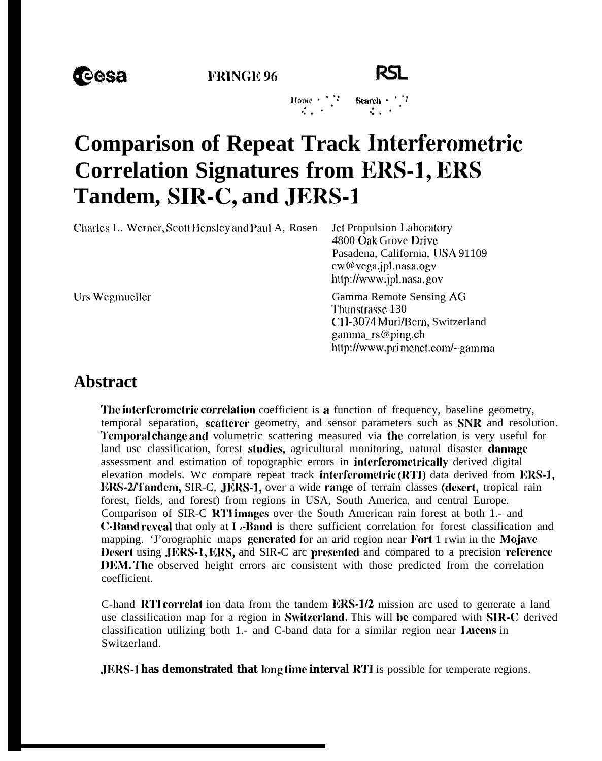**FRINGE 96** 



## **Comparison of Repeat Track Interferometric Correlation Signatures from ERS-1, ERS** Tandem, SIR-C, and JERS-1

Charles 1.. Werner, Scott Hensley and Paul A, Rosen

Jet Propulsion Laboratory 4800 Oak Grove Drive Pasadena, California, USA 91109 cw@vega.jpl.nasa.ogv http://www.jpl.nasa.gov

Urs Wegmueller

Gamma Remote Sensing AG Thunstrasse 130 CH-3074 Muri/Bern, Switzerland gamma rs@ping.ch http://www.primenet.com/~gamma

## **Abstract**

The interferometric correlation coefficient is a function of frequency, baseline geometry, temporal separation, scatterer geometry, and sensor parameters such as SNR and resolution. Temporal change and volumetric scattering measured via the correlation is very useful for land usc classification, forest studies, agricultural monitoring, natural disaster damage assessment and estimation of topographic errors in interferometrically derived digital elevation models. We compare repeat track interferometric (RTI) data derived from ERS-1, ERS-2/Tandem, SIR-C, JERS-1, over a wide range of terrain classes (desert, tropical rain forest, fields, and forest) from regions in USA, South America, and central Europe. Comparison of SIR-C RTI images over the South American rain forest at both 1.- and **C-Band reveal** that only at I .-Band is there sufficient correlation for forest classification and mapping. 'J'orographic maps generated for an arid region near Fort 1 rwin in the Mojave Desert using JERS-1, ERS, and SIR-C arc presented and compared to a precision reference DEM. The observed height errors arc consistent with those predicted from the correlation coefficient.

C-hand RTI correlat ion data from the tandem ERS-1/2 mission arc used to generate a land use classification map for a region in Switzerland. This will be compared with SIR-C derived classification utilizing both 1.- and C-band data for a similar region near Lucens in Switzerland.

**JERS-1 has demonstrated that long time interval RTI** is possible for temperate regions.